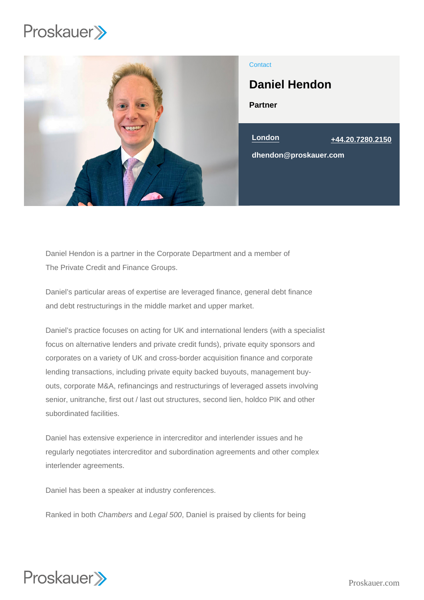

## **Contact**

# Daniel Hendon

Partner



Daniel Hendon is a partner in the Corporate Department and a member of The Private Credit and Finance Groups.

Daniel's particular areas of expertise are leveraged finance, general debt finance and debt restructurings in the middle market and upper market.

Daniel's practice focuses on acting for UK and international lenders (with a specialist focus on alternative lenders and private credit funds), private equity sponsors and corporates on a variety of UK and cross-border acquisition finance and corporate lending transactions, including private equity backed buyouts, management buyouts, corporate M&A, refinancings and restructurings of leveraged assets involving senior, unitranche, first out / last out structures, second lien, holdco PIK and other subordinated facilities.

Daniel has extensive experience in intercreditor and interlender issues and he regularly negotiates intercreditor and subordination agreements and other complex interlender agreements.

Daniel has been a speaker at industry conferences.

Ranked in both Chambers and Legal 500, Daniel is praised by clients for being